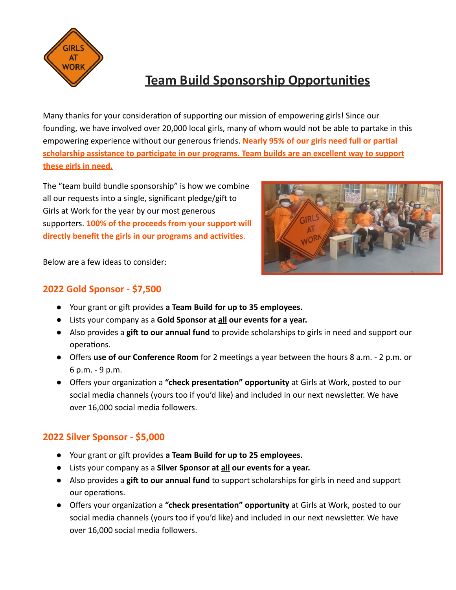

# **Team Build Sponsorship Opportunies**

Many thanks for your consideration of supporting our mission of empowering girls! Since our founding, we have involved over 20,000 local girls, many of whom would not be able to partake in this empowering experience without our generous friends. Nearly 95% of our girls need full or partial scholarship assistance to participate in our programs. Team builds are an excellent way to support **these girls in need.**

The "team build bundle sponsorship" is how we combine all our requests into a single, significant pledge/gift to Girls at Work for the year by our most generous supporters. **100% of the proceeds from your support will** directly benefit the girls in our programs and activities.



Below are a few ideas to consider:

### **2022 Gold Sponsor - \$7,500**

- Your grant or gift provides a Team Build for up to 35 employees.
- **●** Lists your company as a **Gold Sponsor at all our events for a year.**
- **•** Also provides a gift to our annual fund to provide scholarships to girls in need and support our operations.
- **•** Offers use of our Conference Room for 2 meetings a year between the hours 8 a.m. 2 p.m. or 6 p.m. - 9 p.m.
- Offers your organization a "check presentation" opportunity at Girls at Work, posted to our social media channels (yours too if you'd like) and included in our next newsletter. We have over 16,000 social media followers.

### **2022 Silver Sponsor - \$5,000**

- Your grant or gift provides **a Team Build for up to 25 employees.**
- Lists your company as a **Silver Sponsor at all our events for a year.**
- **•** Also provides a gift to our annual fund to support scholarships for girls in need and support our operations.
- Offers your organization a "check presentation" opportunity at Girls at Work, posted to our social media channels (yours too if you'd like) and included in our next newsletter. We have over 16,000 social media followers.